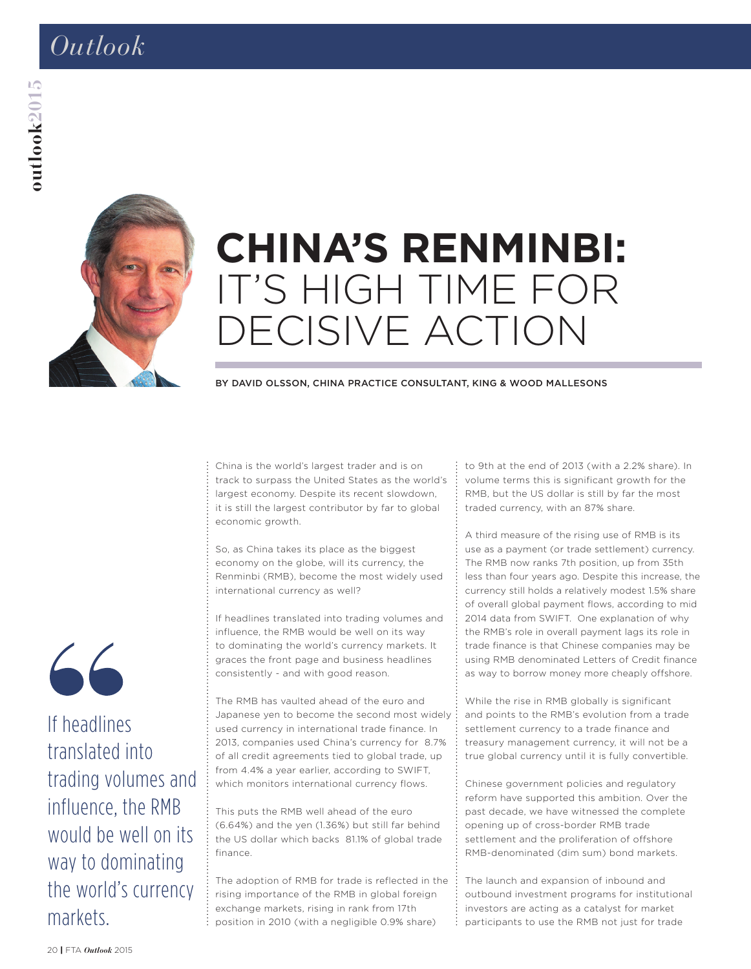# *Outlook*



# **CHINA'S RENMINBI:**  IT'S HIGH TIME FOR DECISIVE ACTION

#### BY DAVID OLSSON, CHINA PRACTICE CONSULTANT, KING & WOOD MALLESONS

China is the world's largest trader and is on track to surpass the United States as the world's largest economy. Despite its recent slowdown, it is still the largest contributor by far to global economic growth.

So, as China takes its place as the biggest economy on the globe, will its currency, the Renminbi (RMB), become the most widely used international currency as well?

If headlines translated into trading volumes and influence, the RMB would be well on its way to dominating the world's currency markets. It graces the front page and business headlines consistently - and with good reason.

The RMB has vaulted ahead of the euro and Japanese yen to become the second most widely used currency in international trade finance. In 2013, companies used China's currency for 8.7% of all credit agreements tied to global trade, up from 4.4% a year earlier, according to SWIFT, which monitors international currency flows.

This puts the RMB well ahead of the euro (6.64%) and the yen (1.36%) but still far behind the US dollar which backs 81.1% of global trade finance.

The adoption of RMB for trade is reflected in the rising importance of the RMB in global foreign exchange markets, rising in rank from 17th position in 2010 (with a negligible 0.9% share)

to 9th at the end of 2013 (with a 2.2% share). In volume terms this is significant growth for the RMB, but the US dollar is still by far the most traded currency, with an 87% share.

A third measure of the rising use of RMB is its use as a payment (or trade settlement) currency. The RMB now ranks 7th position, up from 35th less than four years ago. Despite this increase, the currency still holds a relatively modest 1.5% share of overall global payment flows, according to mid 2014 data from SWIFT. One explanation of why the RMB's role in overall payment lags its role in trade finance is that Chinese companies may be using RMB denominated Letters of Credit finance as way to borrow money more cheaply offshore.

While the rise in RMB globally is significant and points to the RMB's evolution from a trade settlement currency to a trade finance and treasury management currency, it will not be a true global currency until it is fully convertible.

Chinese government policies and regulatory reform have supported this ambition. Over the past decade, we have witnessed the complete opening up of cross-border RMB trade settlement and the proliferation of offshore RMB-denominated (dim sum) bond markets.

The launch and expansion of inbound and outbound investment programs for institutional investors are acting as a catalyst for market participants to use the RMB not just for trade



If headlines translated into trading volumes and influence, the RMB would be well on its way to dominating the world's currency markets.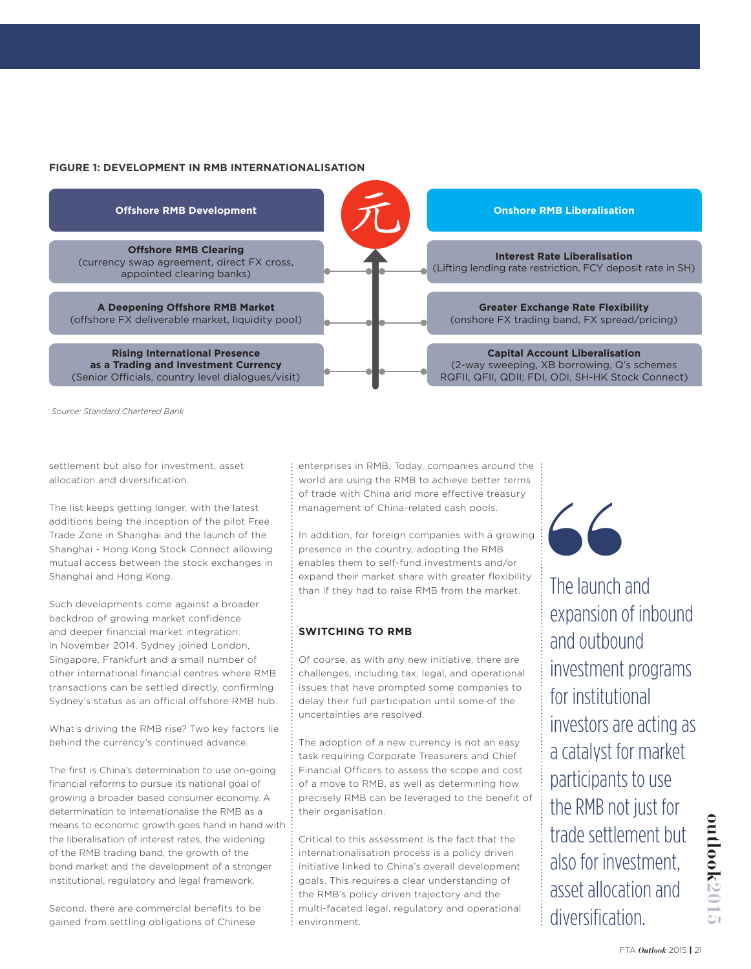### **FIGURE 1: DEVELOPMENT IN RMB INTERNATIONALISATION**



*Source: Standard Chartered Bank*

settlement but also for investment, asset allocation and diversification.

The list keeps getting longer, with the latest additions being the inception of the pilot Free Trade Zone in Shanghai and the launch of the Shanghai - Hong Kong Stock Connect allowing mutual access between the stock exchanges in Shanghai and Hong Kong.

Such developments come against a broader backdrop of growing market confidence and deeper financial market integration. In November 2014, Sydney joined London, Singapore, Frankfurt and a small number of other international financial centres where RMB transactions can be settled directly, confirming Sydney's status as an official offshore RMB hub.

What's driving the RMB rise? Two key factors lie behind the currency's continued advance.

The first is China's determination to use on-going financial reforms to pursue its national goal of growing a broader based consumer economy. A determination to internationalise the RMB as a means to economic growth goes hand in hand with the liberalisation of interest rates, the widening of the RMB trading band, the growth of the bond market and the development of a stronger institutional, regulatory and legal framework.

Second, there are commercial benefits to be gained from settling obligations of Chinese

enterprises in RMB. Today, companies around the world are using the RMB to achieve better terms of trade with China and more effective treasury management of China-related cash pools.

In addition, for foreign companies with a growing presence in the country, adopting the RMB enables them to self-fund investments and/or expand their market share with greater flexibility than if they had to raise RMB from the market.

## **SWITCHING TO RMB**

Of course, as with any new initiative, there are challenges, including tax, legal, and operational issues that have prompted some companies to delay their full participation until some of the uncertainties are resolved.

The adoption of a new currency is not an easy task requiring Corporate Treasurers and Chief Financial Officers to assess the scope and cost of a move to RMB, as well as determining how precisely RMB can be leveraged to the benefit of their organisation.

Critical to this assessment is the fact that the internationalisation process is a policy driven initiative linked to China's overall development goals. This requires a clear understanding of the RMB's policy driven trajectory and the multi-faceted legal, regulatory and operational environment.

 $\sim$ 

The launch and expansion of inbound and outbound investment programs for institutional investors are acting as a catalyst for market participants to use the RMB not just for trade settlement but also for investment, asset allocation and diversification.